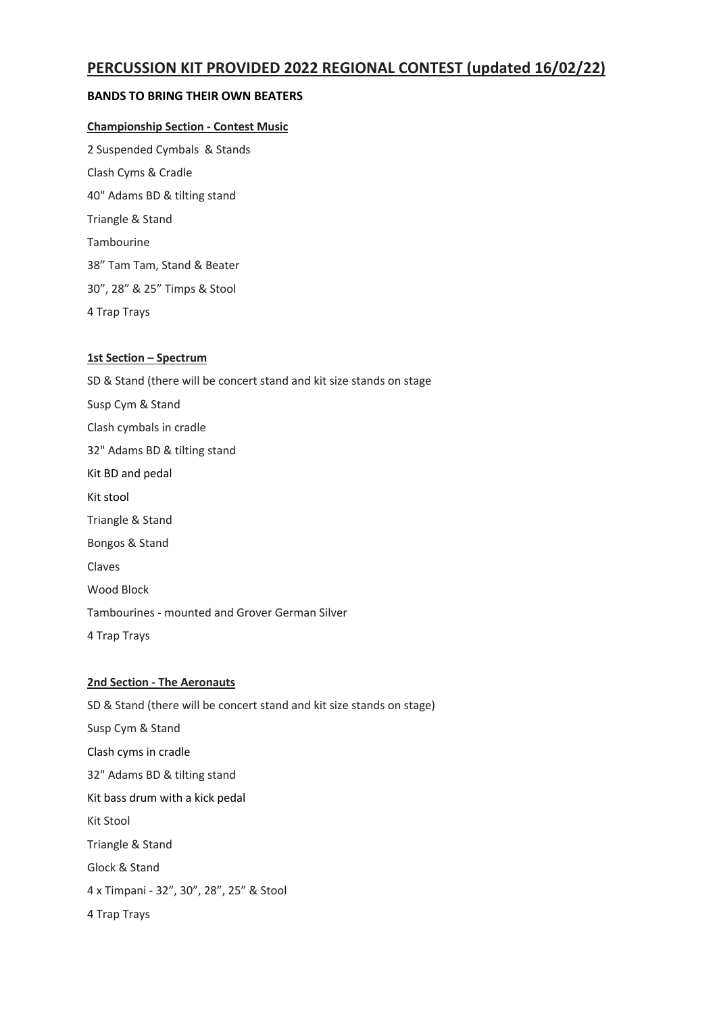# **PERCUSSION KIT PROVIDED 2022 REGIONAL CONTEST (updated 16/02/22)**

# **BANDS TO BRING THEIR OWN BEATERS**

### **Championship Section - Contest Music**

2 Suspended Cymbals & Stands Clash Cyms & Cradle 40" Adams BD & tilting stand Triangle & Stand Tambourine 38" Tam Tam, Stand & Beater 30", 28" & 25" Timps & Stool 4 Trap Trays

### **1st Section – Spectrum**

SD & Stand (there will be concert stand and kit size stands on stage Susp Cym & Stand Clash cymbals in cradle 32" Adams BD & tilting stand Kit BD and pedal Kit stool Triangle & Stand Bongos & Stand Claves Wood Block Tambourines - mounted and Grover German Silver 4 Trap Trays

# **2nd Section - The Aeronauts**

SD & Stand (there will be concert stand and kit size stands on stage) Susp Cym & Stand Clash cyms in cradle 32" Adams BD & tilting stand Kit bass drum with a kick pedal Kit Stool Triangle & Stand Glock & Stand 4 x Timpani - 32", 30", 28", 25" & Stool 4 Trap Trays